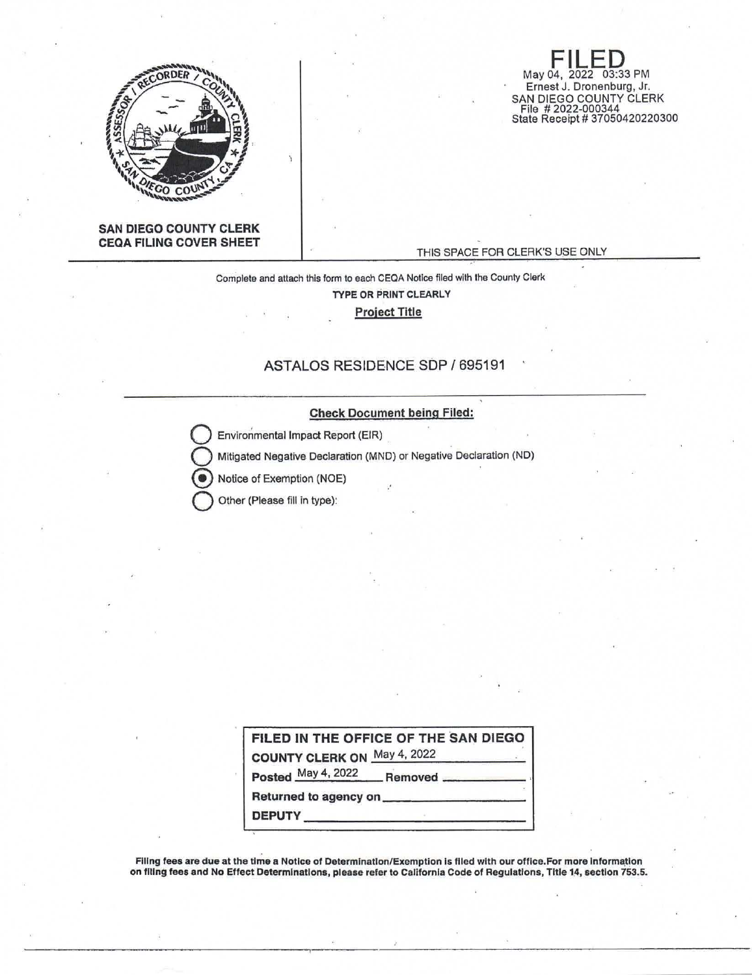

**FILED**<br>May 04, 2022 03:33 PM Ernest J. Dronenburg, Jr. SAN DIEGO COUNTY CLERK File # 2022-000344 State Receipt# 37050420220300

#### **SAN DIEGO COUNTY CLERK CEQA FILING COVER SHEET**

#### THIS SPACE FOR CLERK'S USE ONLY

Complete and attach this form to each CEQA Notice flied with the County Clerk **TYPE OR PRINT CLEARLY Project Title** 

### ASTALOS RESIDENCE SOP/ 695191

#### **Check** Document being Filed:

**Environmental Impact Report (EIR)** 

**Mitigated Negative Declaration (MND) or Negative Declaration (ND)** 

Notice of Exemption (NOE)

**Q** Other (Please fill in type):

|                             | FILED IN THE OFFICE OF THE SAN DIEGO |
|-----------------------------|--------------------------------------|
| COUNTY CLERK ON May 4, 2022 |                                      |
|                             | Posted May 4, 2022 Removed           |
| Returned to agency on _____ |                                      |
| <b>DEPUTY</b>               |                                      |

Filing fees are due at the time a Notice of Determination/Exemption is filed with our office.For more information on filing fees and No Effect Determinations, please refer to California Code of Regulations, Title 14, section 753.5.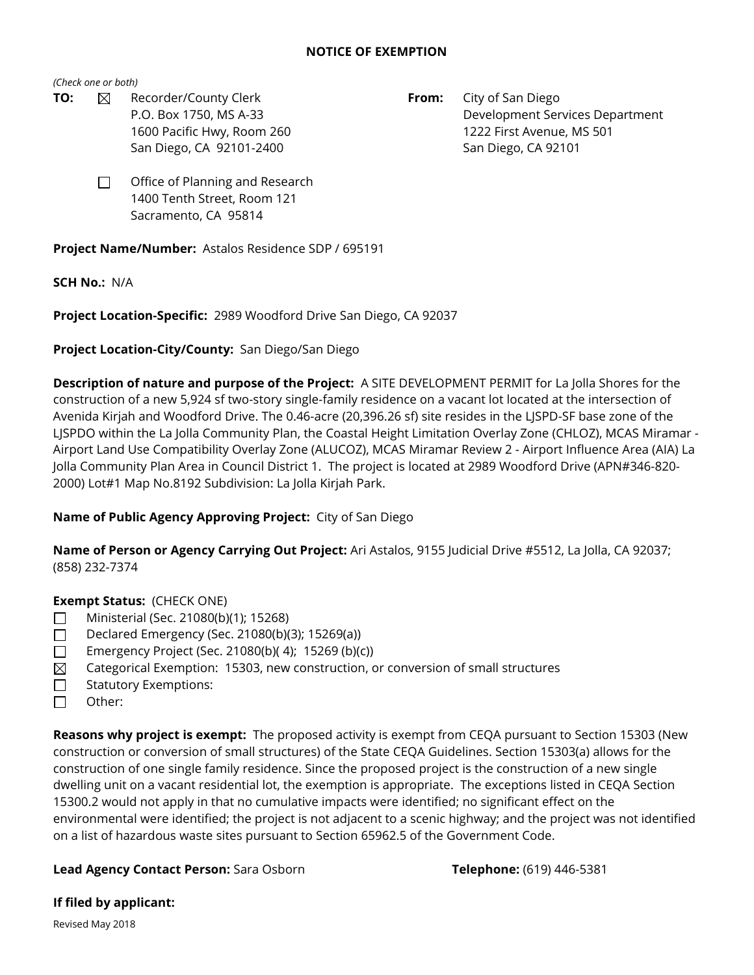### **NOTICE OF EXEMPTION**

*(Check one or both)*

- **TO:**  $\boxtimes$  Recorder/County Clerk **From:** City of San Diego
	- P.O. Box 1750, MS A-33 Development Services Department 1600 Pacific Hwy, Room 260 1222 First Avenue, MS 501 San Diego, CA 92101-2400 San Diego, CA 92101
	- Office of Planning and Research 1400 Tenth Street, Room 121 Sacramento, CA 95814 □

**Project Name/Number:** Astalos Residence SDP / 695191

**SCH No.:** N/A

**Project Location-Specific:** 2989 Woodford Drive San Diego, CA 92037

**Project Location-City/County:** San Diego/San Diego

**Description of nature and purpose of the Project:** A SITE DEVELOPMENT PERMIT for La Jolla Shores for the construction of a new 5,924 sf two-story single-family residence on a vacant lot located at the intersection of Avenida Kirjah and Woodford Drive. The 0.46-acre (20,396.26 sf) site resides in the LJSPD-SF base zone of the LJSPDO within the La Jolla Community Plan, the Coastal Height Limitation Overlay Zone (CHLOZ), MCAS Miramar - Airport Land Use Compatibility Overlay Zone (ALUCOZ), MCAS Miramar Review 2 - Airport Influence Area (AIA) La Jolla Community Plan Area in Council District 1. The project is located at 2989 Woodford Drive (APN#346-820- 2000) Lot#1 Map No.8192 Subdivision: La Jolla Kirjah Park.

# **Name of Public Agency Approving Project:** City of San Diego

**Name of Person or Agency Carrying Out Project:** Ari Astalos, 9155 Judicial Drive #5512, La Jolla, CA 92037; (858) 232-7374

**Exempt Status:** (CHECK ONE)

- Ministerial (Sec. 21080(b)(1); 15268) □
- Declared Emergency (Sec. 21080(b)(3); 15269(a)) □
- Emergency Project (Sec. 21080(b)( 4); 15269 (b)(c)) □
- Categorical Exemption: 15303, new construction, or conversion of small structures  $\boxtimes$
- Statutory Exemptions: □
- Other: □

**Reasons why project is exempt:** The proposed activity is exempt from CEQA pursuant to Section 15303 (New construction or conversion of small structures) of the State CEQA Guidelines. Section 15303(a) allows for the construction of one single family residence. Since the proposed project is the construction of a new single dwelling unit on a vacant residential lot, the exemption is appropriate. The exceptions listed in CEQA Section 15300.2 would not apply in that no cumulative impacts were identified; no significant effect on the environmental were identified; the project is not adjacent to a scenic highway; and the project was not identified on a list of hazardous waste sites pursuant to Section 65962.5 of the Government Code.

## **Lead Agency Contact Person:** Sara Osborn **Telephone:** (619) 446-5381

**If filed by applicant:**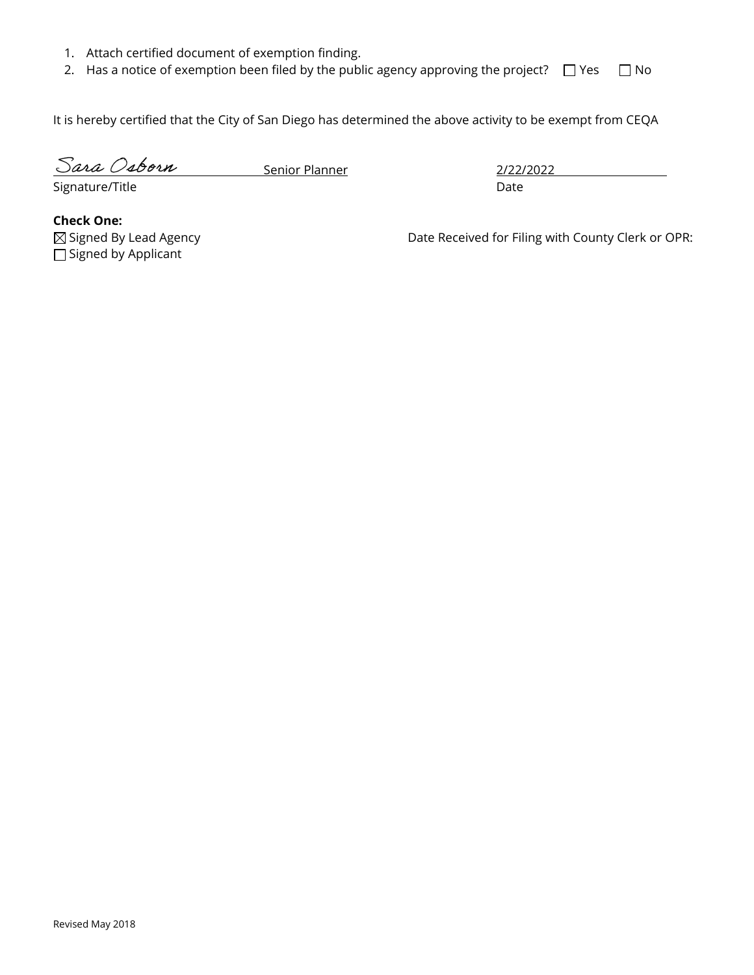- 1. Attach certified document of exemption finding.
- 2. Has a notice of exemption been filed by the public agency approving the project?  $\Box$  Yes  $\Box$  No

It is hereby certified that the City of San Diego has determined the above activity to be exempt from CEQA

Sara Osborn

Senior Planner 2/22/2022

Signature/Title Date

**Check One:**  $\Box$  Signed by Applicant

⊠ Signed By Lead Agency **Date Received for Filing with County Clerk or OPR:**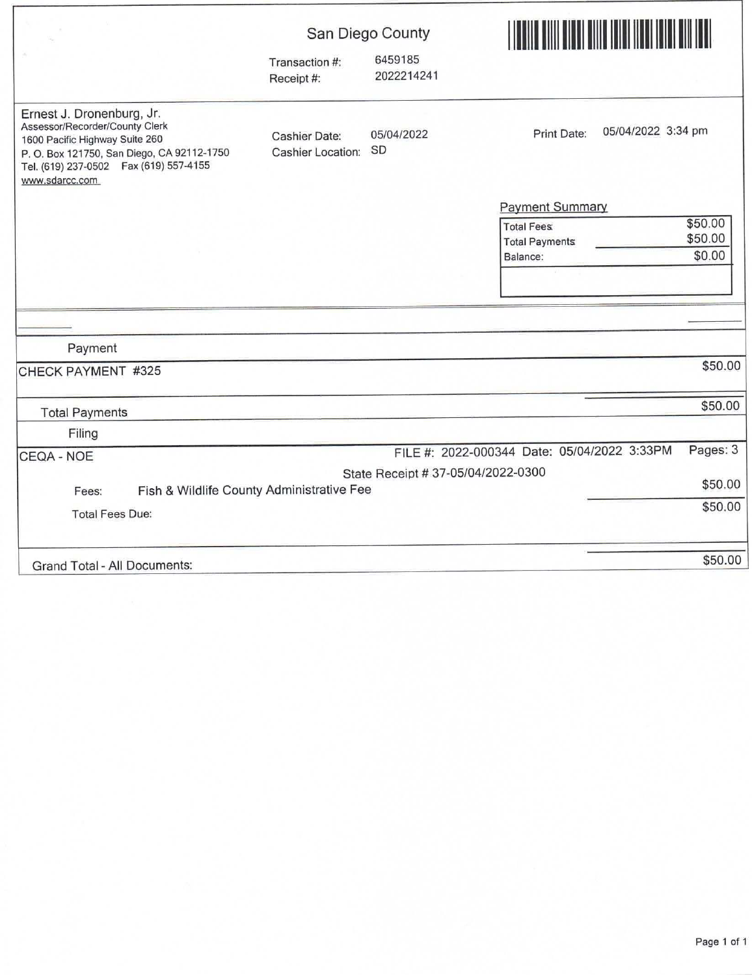|                                                                                                                                                                                                            | San Diego County                                                             |                                    | <u> HERBERT HERBERT I BERLIN BERLIN BERLIN BERLIN BERLIN BERLIN BERLIN BERLIN BERLIN BERLIN BERLIN BERLIN BERLIN</u> |          |  |
|------------------------------------------------------------------------------------------------------------------------------------------------------------------------------------------------------------|------------------------------------------------------------------------------|------------------------------------|----------------------------------------------------------------------------------------------------------------------|----------|--|
|                                                                                                                                                                                                            | Transaction #:<br>Receipt #:                                                 | 6459185<br>2022214241              |                                                                                                                      |          |  |
| Ernest J. Dronenburg, Jr.<br>Assessor/Recorder/County Clerk<br>1600 Pacific Highway Suite 260<br>P. O. Box 121750, San Diego, CA 92112-1750<br>Tel. (619) 237-0502    Fax (619) 557-4155<br>www.sdarcc.com | Print Date:<br>05/04/2022<br><b>Cashier Date:</b><br>SD<br>Cashier Location: | 05/04/2022 3:34 pm                 |                                                                                                                      |          |  |
|                                                                                                                                                                                                            |                                                                              |                                    | Payment Summary                                                                                                      |          |  |
|                                                                                                                                                                                                            |                                                                              |                                    | \$50.00<br><b>Total Fees:</b>                                                                                        |          |  |
|                                                                                                                                                                                                            |                                                                              |                                    | \$50.00<br><b>Total Payments</b>                                                                                     |          |  |
|                                                                                                                                                                                                            |                                                                              |                                    | \$0.00<br>Balance:                                                                                                   |          |  |
|                                                                                                                                                                                                            |                                                                              |                                    |                                                                                                                      |          |  |
|                                                                                                                                                                                                            |                                                                              |                                    |                                                                                                                      |          |  |
| Payment                                                                                                                                                                                                    |                                                                              |                                    |                                                                                                                      |          |  |
| CHECK PAYMENT #325                                                                                                                                                                                         |                                                                              |                                    |                                                                                                                      | \$50.00  |  |
| <b>Total Payments</b>                                                                                                                                                                                      |                                                                              |                                    |                                                                                                                      | \$50.00  |  |
| Filing                                                                                                                                                                                                     |                                                                              |                                    |                                                                                                                      |          |  |
| CEQA - NOE                                                                                                                                                                                                 |                                                                              |                                    | FILE #: 2022-000344 Date: 05/04/2022 3:33PM                                                                          | Pages: 3 |  |
|                                                                                                                                                                                                            |                                                                              | State Receipt # 37-05/04/2022-0300 |                                                                                                                      |          |  |
| Fish & Wildlife County Administrative Fee<br>Fees:                                                                                                                                                         |                                                                              |                                    |                                                                                                                      | \$50.00  |  |
| <b>Total Fees Due:</b>                                                                                                                                                                                     |                                                                              |                                    |                                                                                                                      | \$50.00  |  |
| Grand Total - All Documents:                                                                                                                                                                               |                                                                              |                                    |                                                                                                                      | \$50.00  |  |